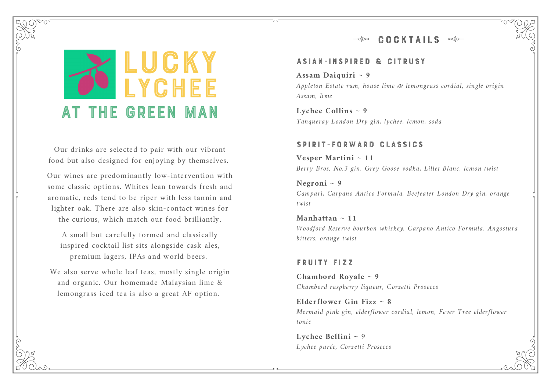#### **COCKTAILS**



Our drinks are selected to pair with our vibrant food but also designed for enjoying by themselves.

Our wines are predominantly low-intervention with some classic options. Whites lean towards fresh and aromatic, reds tend to be riper with less tannin and lighter oak. There are also skin-contact wines for the curious, which match our food brilliantly.

A small but carefully formed and classically inspired cocktail list sits alongside cask ales, premium lagers, IPAs and world beers.

We also serve whole leaf teas, mostly single origin and organic. Our homemade Malaysian lime & lemongrass iced tea is also a great AF option.

#### ASIAN-INSPIRED & CITRUSY

#### **Assam Daiquiri ~ 9**

Appleton Estate rum, house lime & lemongrass cordial, single origin Assam, lime

**Lychee Collins ~ 9** Tanqueray London Dry gin, lychee, lemon, soda

#### SPIRIT-FORWARD CLASSICS

**Vesper Martini ~ 11** Berry Bros. No.3 gin, Grey Goose vodka, Lillet Blanc, lemon twist

**Negroni ~ 9** Campari, Carpano Antico Formula, Beefeater London Dry gin, orange twist

**Manhattan ~ 11** Woodford Reserve bourbon whiskey, Carpano Antico Formula, Angostura bitters, orange twist

#### FRUITY FIZZ

**Chambord Royale ~ 9** Chambord raspberry liqueur, Corzetti Prosecco

**Elderflower Gin Fizz ~ 8** Mermaid pink gin, elderflower cordial, lemon, Fever Tree elderflower tonic

**Lychee Bellini ~ 9** Lychee purée, Corzetti Prosecco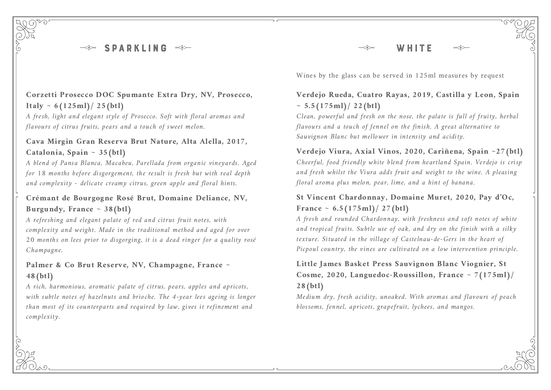**SPARKLING** 

#### **Corzetti Prosecco DOC Spumante Extra Dry, NV, Prosecco, Italy ~ 6(125ml)/ 25(btl)**

A fresh, light and elegant style of Prosecco. Soft with floral aromas and flavours of citrus fruits, pears and a touch of sweet melon.

#### **Cava Mirgin Gran Reserva Brut Nature, Alta Alella, 2017, Catalonia, Spain ~ 35(btl)**

A blend of Pansa Blanca, Macabeu, Parellada from organic vineyards. Aged for 18 months before disgorgement, the result is fresh but with real depth and complexity - delicate creamy citrus, green apple and floral hints.

#### **Crémant de Bourgogne Rosé Brut, Domaine Deliance, NV,** Burgundy, France  $\sim$  38(btl)

A refreshing and elegant palate of red and citrus fruit notes, with complexity and weight. Made in the traditional method and aged for over 20 months on lees prior to disgorging, it is a dead ringer for a quality rosé Champagne.

## **Palmer & Co Brut Reserve, NV, Champagne, France ~ 48(btl)**

A rich, harmonious, aromatic palate of citrus, pears, apples and apricots, with subtle notes of hazelnuts and brioche. The 4-year lees ageing is longer than most of its counterparts and required by law, gives it refinement and complexity.

Wines by the glass can be served in 125ml measures by request

## **Verdejo Rueda, Cuatro Rayas, 2019, Castilla y Leon, Spain**  $\sim 5.5(175 \text{ml})/22(\text{bt}$

WHITE

Clean, powerful and fresh on the nose, the palate is full of fruity, herbal flavours and a touch of fennel on the finish. A great alternative to Sauvignon Blanc but mellower in intensity and acidity.

#### **Verdejo Viura, Axial Vinos, 2020, Cariñena, Spain ~27(btl)** Cheerful, food friendly white blend from heartland Spain. Verdejo is crisp and fresh whilst the Viura adds fruit and weight to the wine. A pleasing floral aroma plus melon, pear, lime, and a hint of banana.

#### **St Vincent Chardonnay, Domaine Muret, 2020, Pay d'Oc,** France  $\sim 6.5(175 \text{ml})/27(\text{bt}l)$

A fresh and rounded Chardonnay, with freshness and soft notes of white and tropical fruits. Subtle use of oak, and dry on the finish with a silky texture. Situated in the village of Castelnau-de-Gers in the heart of Picpoul country, the vines are cultivated on a low intervention principle.

## **Little James Basket Press Sauvignon Blanc Viognier, St Cosme, 2020, Languedoc-Roussillon, France ~ 7(175ml)/ 28(btl)**

Medium dry, fresh acidity, unoaked. With aromas and flavours of peach blossoms, fennel, apricots, grapefruit, lychees, and mangos.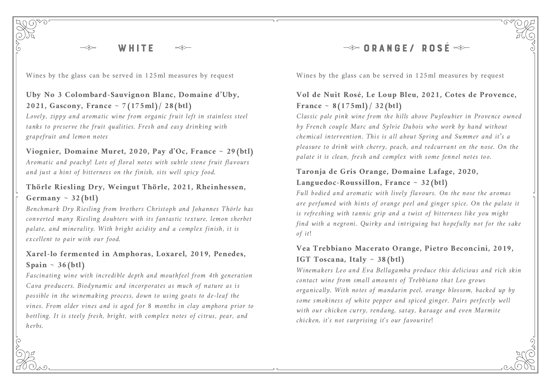Wines by the glass can be served in 125ml measures by request Wines by the glass can be served in 125ml measures by request

## **Uby No 3 Colombard-Sauvignon Blanc, Domaine d'Uby, 2021, Gascony, France ~ 7(175ml)/ 28(btl)**

Lovely, zippy and aromatic wine from organic fruit left in stainless steel tanks to preserve the fruit qualities. Fresh and easy drinking with grapefruit and lemon notes

#### **Viognier, Domaine Muret, 2020, Pay d'Oc, France ~ 29(btl)**

Aromatic and peachy! Lots of floral notes with subtle stone fruit flavours and just a hint of bitterness on the finish, sits well spicy food.

## **Thörle Riesling Dry, Weingut Thörle, 2021, Rheinhessen, Germany ~ 32(btl)**

Benchmark Dry Riesling from brothers Christoph and Johannes Thörle has converted many Riesling doubters with its fantastic texture, lemon sherbet palate, and minerality. With bright acidity and a complex finish, it is excellent to pair with our food.

## **Xarel-lo fermented in Amphoras, Loxarel, 2019, Penedes, Spain ~ 36(btl)**

Fascinating wine with incredible depth and mouthfeel from 4th generation Cava producers. Biodynamic and incorporates as much of nature as is possible in the winemaking process, down to using goats to de-leaf the vines. From older vines and is aged for 8 months in clay amphora prior to bottling. It is steely fresh, bright, with complex notes of citrus, pear, and herbs.

# $\rightarrow$  ORANGE/ ROSE  $\rightarrow$

## **Vol de Nuit Rosé, Le Loup Bleu, 2021, Cotes de Provence, France ~ 8(175ml)/ 32(btl)**

Classic pale pink wine from the hills above Puyloubier in Provence owned by French couple Marc and Sylvie Dubois who work by hand without chemical intervention. This is all about Spring and Summer and it's a pleasure to drink with cherry, peach, and redcurrant on the nose. On the palate it is clean, fresh and complex with some fennel notes too.

#### **Taronja de Gris Orange, Domaine Lafage, 2020, Languedoc-Roussillon, France ~ 32(btl)**

Full bodied and aromatic with lively flavours. On the nose the aromas are perfumed with hints of orange peel and ginger spice. On the palate it is refreshing with tannic grip and a twist of bitterness like you might find with a negroni. Quirky and intriguing but hopefully not for the sake of it!

#### **Vea Trebbiano Macerato Orange, Pietro Beconcini, 2019, IGT Toscana, Italy ~ 38(btl)**

Winemakers Leo and Eva Bellagamba produce this delicious and rich skin contact wine from small amounts of Trebbiano that Leo grows organically. With notes of mandarin peel, orange blossom, backed up by some smokiness of white pepper and spiced ginger. Pairs perfectly well with our chicken curry, rendang, satay, karaage and even Marmite chicken, it's not surprising it's our favourite!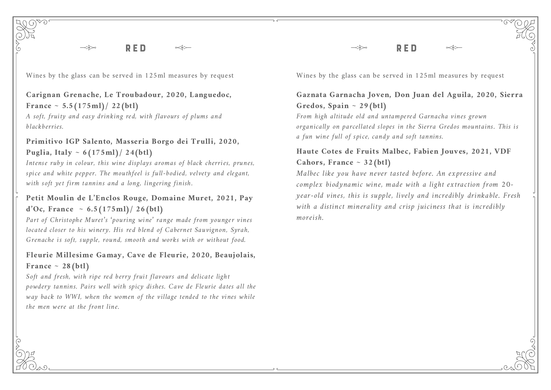#### **Carignan Grenache, Le Troubadour, 2020, Languedoc, France ~ 5.5(175ml)/ 22(btl)**

A soft, fruity and easy drinking red, with flavours of plums and blackberries.

## **Primitivo IGP Salento, Masseria Borgo dei Trulli, 2020, Puglia, Italy ~ 6(175ml)/ 24(btl)**

Intense ruby in colour, this wine displays aromas of black cherries, prunes, spice and white pepper. The mouthfeel is full-bodied, velvety and elegant, with soft yet firm tannins and a long, lingering finish.

## **Petit Moulin de L'Enclos Rouge, Domaine Muret, 2021, Pay d'Oc, France ~ 6.5(175ml)/ 26(btl)**

Part of Christophe Muret's 'pouring wine' range made from younger vines located closer to his winery. His red blend of Cabernet Sauvignon, Syrah, Grenache is soft, supple, round, smooth and works with or without food.

#### **Fleurie Millesime Gamay, Cave de Fleurie, 2020, Beaujolais, France ~ 28(btl)**

Soft and fresh, with ripe red berry fruit flavours and delicate light powdery tannins. Pairs well with spicy dishes. Cave de Fleurie dates all the way back to WWI, when the women of the village tended to the vines while the men were at the front line.

Wines by the glass can be served in 125ml measures by request Wines by the glass can be served in 125ml measures by request

RED

## **Gaznata Garnacha Joven, Don Juan del Aguila, 2020, Sierra Gredos, Spain ~ 29(btl)**

From high altitude old and untampered Garnacha vines grown organically on parcellated slopes in the Sierra Gredos mountains. This is a fun wine full of spice, candy and soft tannins.

#### **Haute Cotes de Fruits Malbec, Fabien Jouves, 2021, VDF Cahors, France ~ 32(btl)**

Malbec like you have never tasted before. An expressive and complex biodynamic wine, made with a light extraction from 20 year-old vines, this is supple, lively and incredibly drinkable. Fresh with a distinct minerality and crisp juiciness that is incredibly moreish.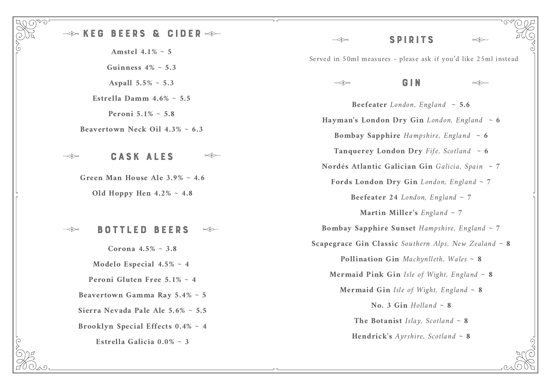## KEG BEERS & CIDER

**Amstel 4.1% ~ 5 Guinness 4% ~ 5.3 Aspall 5.5% ~ 5.3**

**Estrella Damm 4.6% ~ 5.5**

**Peroni 5.1% ~ 5.8**

**Beavertown Neck Oil 4.3% ~ 6.3**

#### CASK ALES

 $\lll$ 

**Green Man House Ale 3.9% ~ 4.6**

**Old Hoppy Hen 4.2% ~ 4.8**

BOTTLED BEERS ≪≪

**Corona 4.5% ~ 3.8 Modelo Especial 4.5% ~ 4 Peroni Gluten Free 5.1% ~ 4 Beavertown Gamma Ray 5.4% ~ 5 Sierra Nevada Pale Ale 5.6% ~ 5.5 Brooklyn Special Effects 0.4% ~ 4 Estrella Galicia 0.0% ~ 3**

S P IRI T S ≺≪ Served in 50ml measures - please ask if you'd like 25ml insteadGIN  $\prec\!\!\!\prec$ **Beefeater** London, England  $\sim$  5.6 Hayman's London Dry Gin London, England  $\sim 6$ **Bombay Sapphire** Hampshire, England **~ 6 Tanquerey London Dry** Fife, Scotland  $\sim 6$ **Nordés Atlantic Galician Gin** Galicia, Spain **~ 7**

**Fords London Dry Gin** London, England **~ 7**

**Beefeater** 24 London, England  $\sim$  7

**Martin Miller's** England **~ 7**

**Bombay Sapphire Sunset** Hampshire, England **~ 7 Scapegrace Gin Classic** Southern Alps, New Zealand **~ 8 Pollination Gin** Machynlleth, Wales **~ 8 Mermaid Pink Gin** Isle of Wight, England **~ 8 Mermaid Gin** Isle of Wight, England **~ 8**

> **No. 3 Gin** Holland **~ 8** The Botanist Islay, Scotland  $\sim 8$

**Hendrick's** Ayrshire, Scotland **~ 8**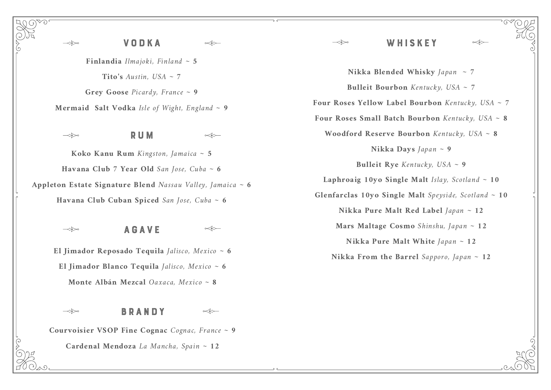## VODKA WHI SKE Y

**Nikka Blended Whisky** Japan **~ 7 Bulleit Bourbon** Kentucky, USA **~ 7 Four Roses Yellow Label Bourbon** Kentucky, USA **~ 7 Four Roses Small Batch Bourbon** Kentucky, USA **~ 8 Woodford Reserve Bourbon** Kentucky, USA **~ 8 Nikka Days** Japan **~ 9 Bulleit Rye** Kentucky, USA **~ 9 Laphroaig 10yo Single Malt** Islay, Scotland **~ 10 Glenfarclas 10yo Single Malt** Speyside, Scotland **~ 10 Nikka Pure Malt Red Label** Japan **~ 12 Mars Maltage Cosmo** Shinshu, Japan **~ 12 Nikka Pure Malt White** Japan **~ 12 Nikka From the Barrel** Sapporo, Japan **~ 12**

**Finlandia** Ilmajoki, Finland **~ 5** Tito's Austin,  $USA \sim 7$ **Grey Goose** Picardy, France **~ 9 Mermaid Salt Vodka** Isle of Wight, England **~ 9**

 $\Longrightarrow$ 

RUM

 $\propto\leftrightarrow$ 

 $\lll$ 

**Koko Kanu Rum** Kingston, Jamaica **~ 5 Havana Club 7 Year Old** San Jose, Cuba **~ 6 Appleton Estate Signature Blend** Nassau Valley, Jamaica **~ 6 Havana Club Cuban Spiced** San Jose, Cuba **~ 6**

AGAVE

**El Jimador Reposado Tequila** Jalisco, Mexico **~ 6 El Jimador Blanco Tequila** Jalisco, Mexico **~ 6 Monte Albán Mezcal** Oaxaca, Mexico **~ 8**

 $\lll$ 

**Courvoisier VSOP Fine Cognac** Cognac, France **~ 9**

BRANDY

**Cardenal Mendoza** La Mancha, Spain **~ 12**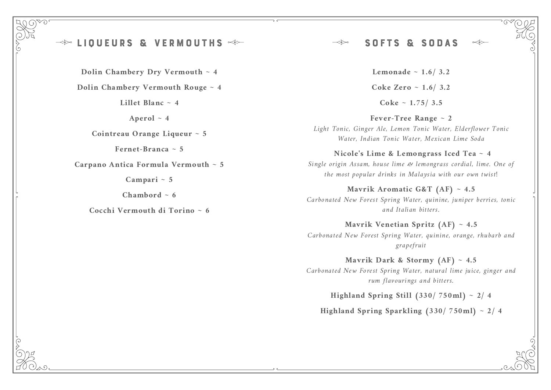#### LIQUEURS & VERMOU

**Dolin Chambery Dry Vermouth ~ 4**

**Dolin Chambery Vermouth Rouge ~ 4**

**Lillet Blanc ~ 4**

Aperol  $\sim$  4

**Cointreau Orange Liqueur ~ 5**

Fernet-Branca  $\sim$  5

**Carpano Antica Formula Vermouth ~ 5**

**Campari ~ 5**

Chambord  $\sim 6$ 

**Cocchi Vermouth di Torino ~ 6**

#### SOFTS & SODAS  $\Longrightarrow$

**Lemonade ~ 1.6/ 3.2 Coke Zero ~ 1.6/ 3.2 Coke ~ 1.75/ 3.5**

**Fever-Tree Range ~ 2** Light Tonic, Ginger Ale, Lemon Tonic Water, Elderflower Tonic Water, Indian Tonic Water, Mexican Lime Soda

**Nicole's Lime & Lemongrass Iced Tea ~ 4**

Single origin Assam, house lime & lemongrass cordial, lime. One of the most popular drinks in Malaysia with our own twist!

**Mavrik Aromatic G&T (AF) ~ 4.5** Carbonated New Forest Spring Water, quinine, juniper berries, tonic and Italian bitters.

**Mavrik Venetian Spritz (AF) ~ 4.5** Carbonated New Forest Spring Water, quinine, orange, rhubarb and grapefruit

**Mavrik Dark & Stormy (AF) ~ 4.5** Carbonated New Forest Spring Water, natural lime juice, ginger and rum flavourings and bitters.

**Highland Spring Still (330/ 750ml) ~ 2/ 4**

**Highland Spring Sparkling (330/ 750ml) ~ 2/ 4**